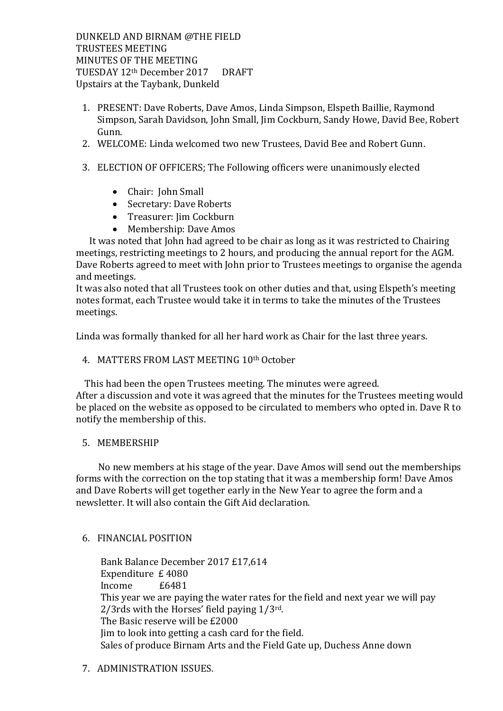DUNKELD AND BIRNAM @THE FIELD TRUSTEES MEETING MINUTES OF THE MEETING TUESDAY 12th December 2017 DRAFT Upstairs at the Taybank, Dunkeld

- 1. PRESENT: Dave Roberts, Dave Amos, Linda Simpson, Elspeth Baillie, Raymond Simpson, Sarah Davidson, John Small, Jim Cockburn, Sandy Howe, David Bee, Robert Gunn.
- 2. WELCOME: Linda welcomed two new Trustees, David Bee and Robert Gunn.
- 3. ELECTION OF OFFICERS; The Following officers were unanimously elected
	- Chair: John Small
	- Secretary: Dave Roberts
	- Treasurer: Iim Cockburn
	- Membership: Dave Amos

 It was noted that John had agreed to be chair as long as it was restricted to Chairing meetings, restricting meetings to 2 hours, and producing the annual report for the AGM. Dave Roberts agreed to meet with John prior to Trustees meetings to organise the agenda and meetings.

It was also noted that all Trustees took on other duties and that, using Elspeth's meeting notes format, each Trustee would take it in terms to take the minutes of the Trustees meetings.

Linda was formally thanked for all her hard work as Chair for the last three years.

4. MATTERS FROM LAST MEETING 10th October

 This had been the open Trustees meeting. The minutes were agreed. After a discussion and vote it was agreed that the minutes for the Trustees meeting would be placed on the website as opposed to be circulated to members who opted in. Dave R to notify the membership of this.

5. MEMBERSHIP

 No new members at his stage of the year. Dave Amos will send out the memberships forms with the correction on the top stating that it was a membership form! Dave Amos and Dave Roberts will get together early in the New Year to agree the form and a newsletter. It will also contain the Gift Aid declaration.

### 6. FINANCIAL POSITION

Bank Balance December 2017 £17,614 Expenditure £ 4080 Income £6481 This year we are paying the water rates for the field and next year we will pay  $2/3$ rds with the Horses' field paying  $1/3$ <sup>rd</sup>. The Basic reserve will be £2000 Jim to look into getting a cash card for the field. Sales of produce Birnam Arts and the Field Gate up, Duchess Anne down

7. ADMINISTRATION ISSUES.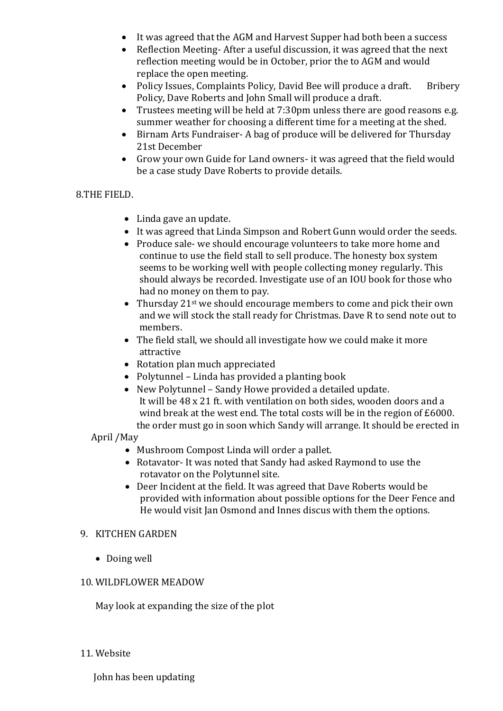- It was agreed that the AGM and Harvest Supper had both been a success
- Reflection Meeting- After a useful discussion, it was agreed that the next reflection meeting would be in October, prior the to AGM and would replace the open meeting.
- Policy Issues, Complaints Policy, David Bee will produce a draft. Bribery Policy, Dave Roberts and John Small will produce a draft.
- Trustees meeting will be held at 7:30pm unless there are good reasons e.g. summer weather for choosing a different time for a meeting at the shed.
- Birnam Arts Fundraiser- A bag of produce will be delivered for Thursday 21st December
- Grow your own Guide for Land owners- it was agreed that the field would be a case study Dave Roberts to provide details.

## 8.THE FIELD.

- Linda gave an update.
- It was agreed that Linda Simpson and Robert Gunn would order the seeds.
- Produce sale- we should encourage volunteers to take more home and continue to use the field stall to sell produce. The honesty box system seems to be working well with people collecting money regularly. This should always be recorded. Investigate use of an IOU book for those who had no money on them to pay.
- Thursday 21<sup>st</sup> we should encourage members to come and pick their own and we will stock the stall ready for Christmas. Dave R to send note out to members.
- The field stall, we should all investigate how we could make it more attractive
- Rotation plan much appreciated
- Polytunnel Linda has provided a planting book
- New Polytunnel Sandy Howe provided a detailed update. It will be 48 x 21 ft. with ventilation on both sides, wooden doors and a wind break at the west end. The total costs will be in the region of £6000. the order must go in soon which Sandy will arrange. It should be erected in

### April /May

- Mushroom Compost Linda will order a pallet.
- Rotavator- It was noted that Sandy had asked Raymond to use the rotavator on the Polytunnel site.
- Deer Incident at the field. It was agreed that Dave Roberts would be provided with information about possible options for the Deer Fence and He would visit Jan Osmond and Innes discus with them the options.

# 9. KITCHEN GARDEN

• Doing well

### 10. WILDFLOWER MEADOW

May look at expanding the size of the plot

### 11. Website

John has been updating